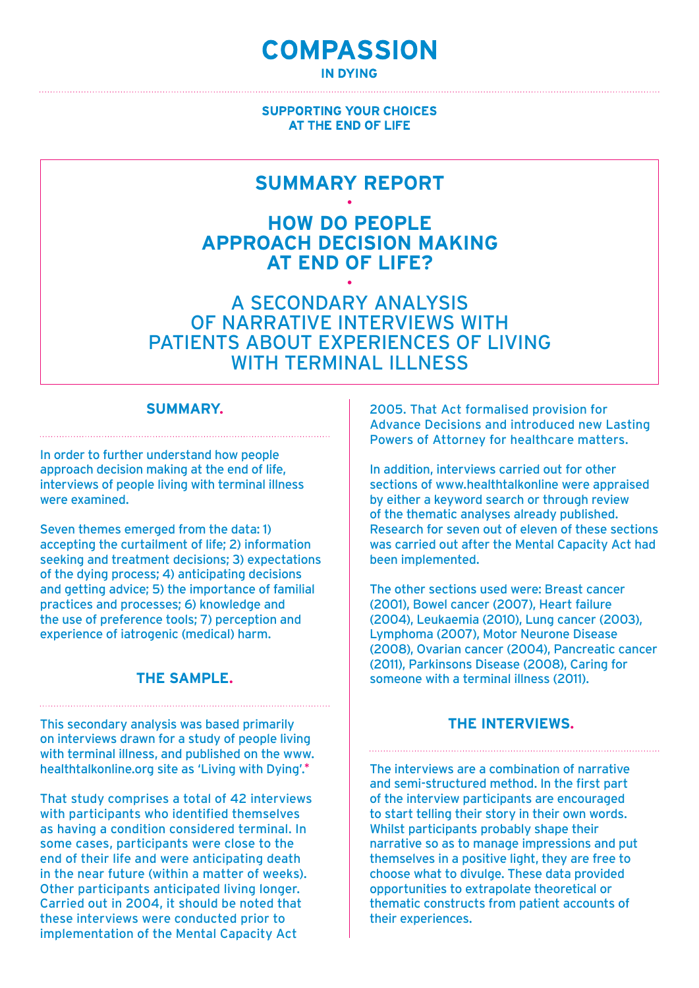# **COMPASSION**

**IN DYING** 

# **SUPPORTING YOUR CHOICES** AT THE END OF LIFE

# **SUMMARY REPORT**

**· How do people approach decision making at end of life? ·**

A secondary analysis of narrative interviews with patients about experiences of living WITH TERMINAL II I NESS

# **SUMMARY.**

In order to further understand how people approach decision making at the end of life, interviews of people living with terminal illness were examined.

Seven themes emerged from the data: 1) accepting the curtailment of life; 2) information seeking and treatment decisions; 3) expectations of the dying process; 4) anticipating decisions and getting advice; 5) the importance of familial practices and processes; 6) knowledge and the use of preference tools; 7) perception and experience of iatrogenic (medical) harm.

# **THE SAMPLE.**

This secondary analysis was based primarily on interviews drawn for a study of people living with terminal illness, and published on the www. healthtalkonline.org site as 'Living with Dying'.\*

That study comprises a total of 42 interviews with participants who identified themselves as having a condition considered terminal. In some cases, participants were close to the end of their life and were anticipating death in the near future (within a matter of weeks). Other participants anticipated living longer. Carried out in 2004, it should be noted that these interviews were conducted prior to implementation of the Mental Capacity Act

2005. That Act formalised provision for Advance Decisions and introduced new Lasting Powers of Attorney for healthcare matters.

In addition, interviews carried out for other sections of www.healthtalkonline were appraised by either a keyword search or through review of the thematic analyses already published. Research for seven out of eleven of these sections was carried out after the Mental Capacity Act had been implemented.

The other sections used were: Breast cancer (2001), Bowel cancer (2007), Heart failure (2004), Leukaemia (2010), Lung cancer (2003), Lymphoma (2007), Motor Neurone Disease (2008), Ovarian cancer (2004), Pancreatic cancer (2011), Parkinsons Disease (2008), Caring for someone with a terminal illness (2011).

# **The interviews.**

The interviews are a combination of narrative and semi-structured method. In the first part of the interview participants are encouraged to start telling their story in their own words. Whilst participants probably shape their narrative so as to manage impressions and put themselves in a positive light, they are free to choose what to divulge. These data provided opportunities to extrapolate theoretical or thematic constructs from patient accounts of their experiences.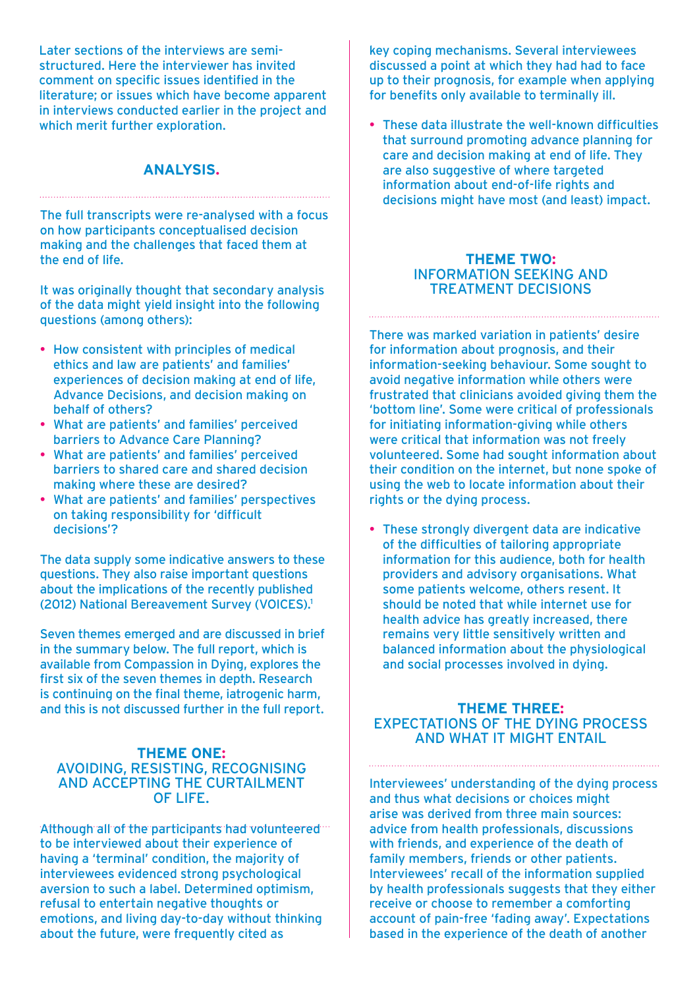Later sections of the interviews are semistructured. Here the interviewer has invited comment on specific issues identified in the literature; or issues which have become apparent in interviews conducted earlier in the project and which merit further exploration.

# **ANALYSIS.**

The full transcripts were re-analysed with a focus on how participants conceptualised decision making and the challenges that faced them at the end of life.

It was originally thought that secondary analysis of the data might yield insight into the following questions (among others):

- How consistent with principles of medical ethics and law are patients' and families' experiences of decision making at end of life, Advance Decisions, and decision making on behalf of others?
- What are patients' and families' perceived barriers to Advance Care Planning?
- What are patients' and families' perceived barriers to shared care and shared decision making where these are desired?
- What are patients' and families' perspectives on taking responsibility for 'difficult decisions'?

The data supply some indicative answers to these questions. They also raise important questions about the implications of the recently published (2012) National Bereavement Survey (VOICES).1

Seven themes emerged and are discussed in brief in the summary below. The full report, which is available from Compassion in Dying, explores the first six of the seven themes in depth. Research is continuing on the final theme, iatrogenic harm, and this is not discussed further in the full report.

#### **Theme One:** Avoiding, resisting, recognising and accepting the curtailment of life.

Although all of the participants had volunteered... to be interviewed about their experience of having a 'terminal' condition, the majority of interviewees evidenced strong psychological aversion to such a label. Determined optimism, refusal to entertain negative thoughts or emotions, and living day-to-day without thinking about the future, were frequently cited as

key coping mechanisms. Several interviewees discussed a point at which they had had to face up to their prognosis, for example when applying for benefits only available to terminally ill.

• These data illustrate the well-known difficulties that surround promoting advance planning for care and decision making at end of life. They are also suggestive of where targeted information about end-of-life rights and decisions might have most (and least) impact.

#### **Theme Two:** Information seeking and treatment decisions

There was marked variation in patients' desire for information about prognosis, and their information-seeking behaviour. Some sought to avoid negative information while others were frustrated that clinicians avoided giving them the 'bottom line'. Some were critical of professionals for initiating information-giving while others were critical that information was not freely volunteered. Some had sought information about their condition on the internet, but none spoke of using the web to locate information about their rights or the dying process.

• These strongly divergent data are indicative of the difficulties of tailoring appropriate information for this audience, both for health providers and advisory organisations. What some patients welcome, others resent. It should be noted that while internet use for health advice has greatly increased, there remains very little sensitively written and balanced information about the physiological and social processes involved in dying.

# **Theme Three:** Expectations of the dying process and what it might entail

Interviewees' understanding of the dying process and thus what decisions or choices might arise was derived from three main sources: advice from health professionals, discussions with friends, and experience of the death of family members, friends or other patients. Interviewees' recall of the information supplied by health professionals suggests that they either receive or choose to remember a comforting account of pain-free 'fading away'. Expectations based in the experience of the death of another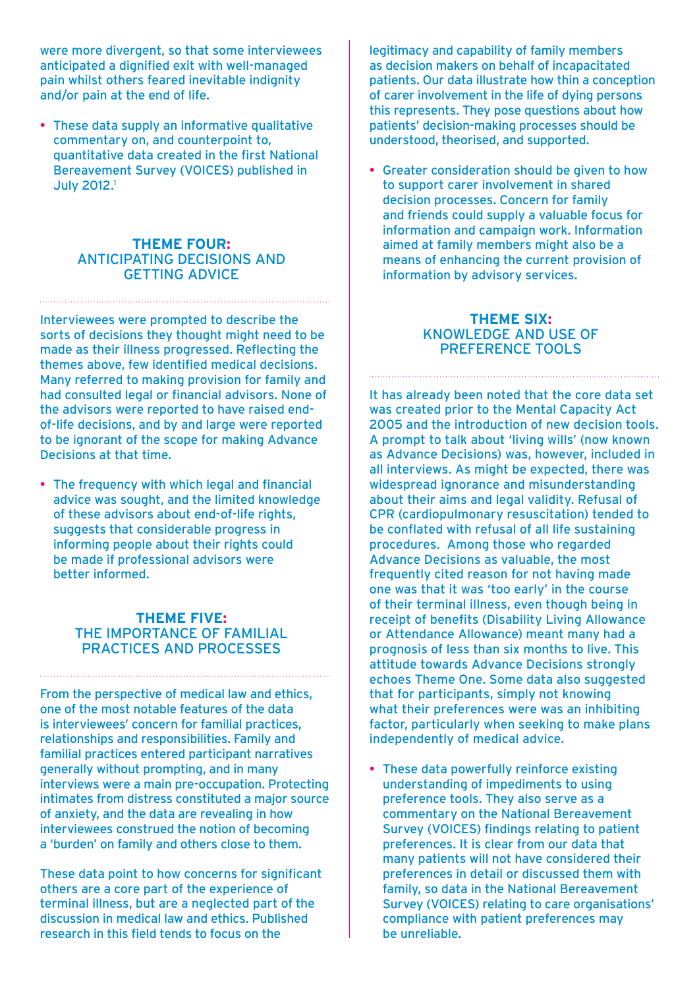were more divergent, so that some interviewees anticipated a dignified exit with well-managed pain whilst others feared inevitable indignity and/or pain at the end of life.

• These data supply an informative qualitative commentary on, and counterpoint to, quantitative data created in the first National Bereavement Survey (VOICES) published in **July 2012.1** 

#### **Theme FOUR:** Anticipating decisions and getting advice

Interviewees were prompted to describe the sorts of decisions they thought might need to be made as their illness progressed. Reflecting the themes above, few identified medical decisions. Many referred to making provision for family and had consulted legal or financial advisors. None of the advisors were reported to have raised endof-life decisions, and by and large were reported to be ignorant of the scope for making Advance Decisions at that time.

• The frequency with which legal and financial advice was sought, and the limited knowledge of these advisors about end-of-life rights, suggests that considerable progress in informing people about their rights could be made if professional advisors were better informed.

## **Theme FIVE:** The importance of familial practices and processes

From the perspective of medical law and ethics, one of the most notable features of the data is interviewees' concern for familial practices, relationships and responsibilities. Family and familial practices entered participant narratives generally without prompting, and in many interviews were a main pre-occupation. Protecting intimates from distress constituted a major source of anxiety, and the data are revealing in how interviewees construed the notion of becoming a 'burden' on family and others close to them.

These data point to how concerns for significant others are a core part of the experience of terminal illness, but are a neglected part of the discussion in medical law and ethics. Published research in this field tends to focus on the

legitimacy and capability of family members as decision makers on behalf of incapacitated patients. Our data illustrate how thin a conception of carer involvement in the life of dying persons this represents. They pose questions about how patients' decision-making processes should be understood, theorised, and supported.

• Greater consideration should be given to how to support carer involvement in shared decision processes. Concern for family and friends could supply a valuable focus for information and campaign work. Information aimed at family members might also be a means of enhancing the current provision of information by advisory services.

# **Theme SIX:** Knowledge and use of preference tools

It has already been noted that the core data set was created prior to the Mental Capacity Act 2005 and the introduction of new decision tools. A prompt to talk about 'living wills' (now known as Advance Decisions) was, however, included in all interviews. As might be expected, there was widespread ignorance and misunderstanding about their aims and legal validity. Refusal of CPR (cardiopulmonary resuscitation) tended to be conflated with refusal of all life sustaining procedures. Among those who regarded Advance Decisions as valuable, the most frequently cited reason for not having made one was that it was 'too early' in the course of their terminal illness, even though being in receipt of benefits (Disability Living Allowance or Attendance Allowance) meant many had a prognosis of less than six months to live. This attitude towards Advance Decisions strongly echoes Theme One. Some data also suggested that for participants, simply not knowing what their preferences were was an inhibiting factor, particularly when seeking to make plans independently of medical advice.

• These data powerfully reinforce existing understanding of impediments to using preference tools. They also serve as a commentary on the National Bereavement Survey (VOICES) findings relating to patient preferences. It is clear from our data that many patients will not have considered their preferences in detail or discussed them with family, so data in the National Bereavement Survey (VOICES) relating to care organisations' compliance with patient preferences may be unreliable.